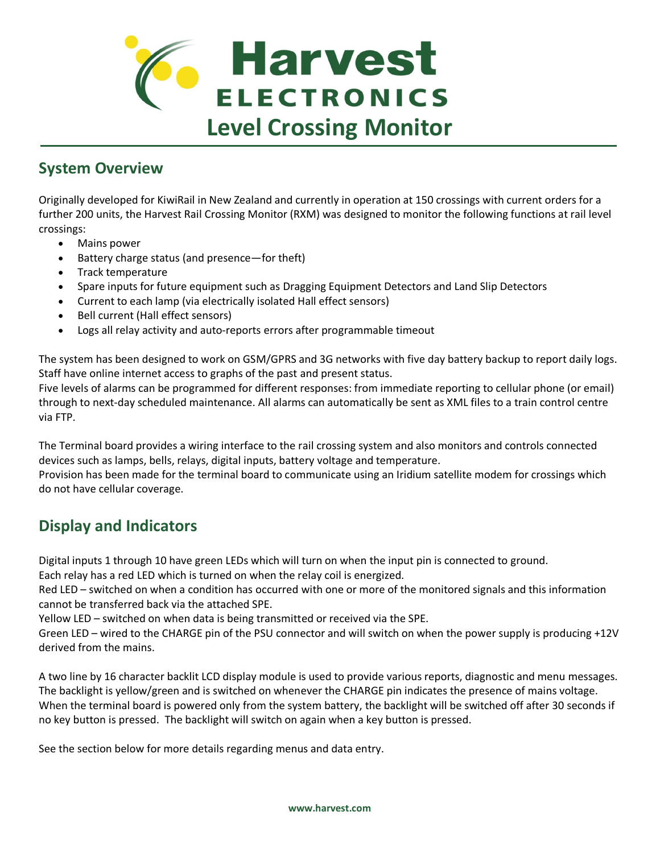

## **System Overview**

Originally developed for KiwiRail in New Zealand and currently in operation at 150 crossings with current orders for a further 200 units, the Harvest Rail Crossing Monitor (RXM) was designed to monitor the following functions at rail level crossings:

- · Mains power
- Battery charge status (and presence—for theft)
- · Track temperature
- · Spare inputs for future equipment such as Dragging Equipment Detectors and Land Slip Detectors
- Current to each lamp (via electrically isolated Hall effect sensors)
- Bell current (Hall effect sensors)
- · Logs all relay activity and auto-reports errors after programmable timeout

The system has been designed to work on GSM/GPRS and 3G networks with five day battery backup to report daily logs. Staff have online internet access to graphs of the past and present status.

Five levels of alarms can be programmed for different responses: from immediate reporting to cellular phone (or email) through to next-day scheduled maintenance. All alarms can automatically be sent as XML files to a train control centre via FTP.

The Terminal board provides a wiring interface to the rail crossing system and also monitors and controls connected devices such as lamps, bells, relays, digital inputs, battery voltage and temperature.

Provision has been made for the terminal board to communicate using an Iridium satellite modem for crossings which do not have cellular coverage.

## **Display and Indicators**

Digital inputs 1 through 10 have green LEDs which will turn on when the input pin is connected to ground.

Each relay has a red LED which is turned on when the relay coil is energized.

Red LED – switched on when a condition has occurred with one or more of the monitored signals and this information cannot be transferred back via the attached SPE.

Yellow LED – switched on when data is being transmitted or received via the SPE.

Green LED – wired to the CHARGE pin of the PSU connector and will switch on when the power supply is producing +12V derived from the mains.

A two line by 16 character backlit LCD display module is used to provide various reports, diagnostic and menu messages. The backlight is yellow/green and is switched on whenever the CHARGE pin indicates the presence of mains voltage. When the terminal board is powered only from the system battery, the backlight will be switched off after 30 seconds if no key button is pressed. The backlight will switch on again when a key button is pressed.

See the section below for more details regarding menus and data entry.